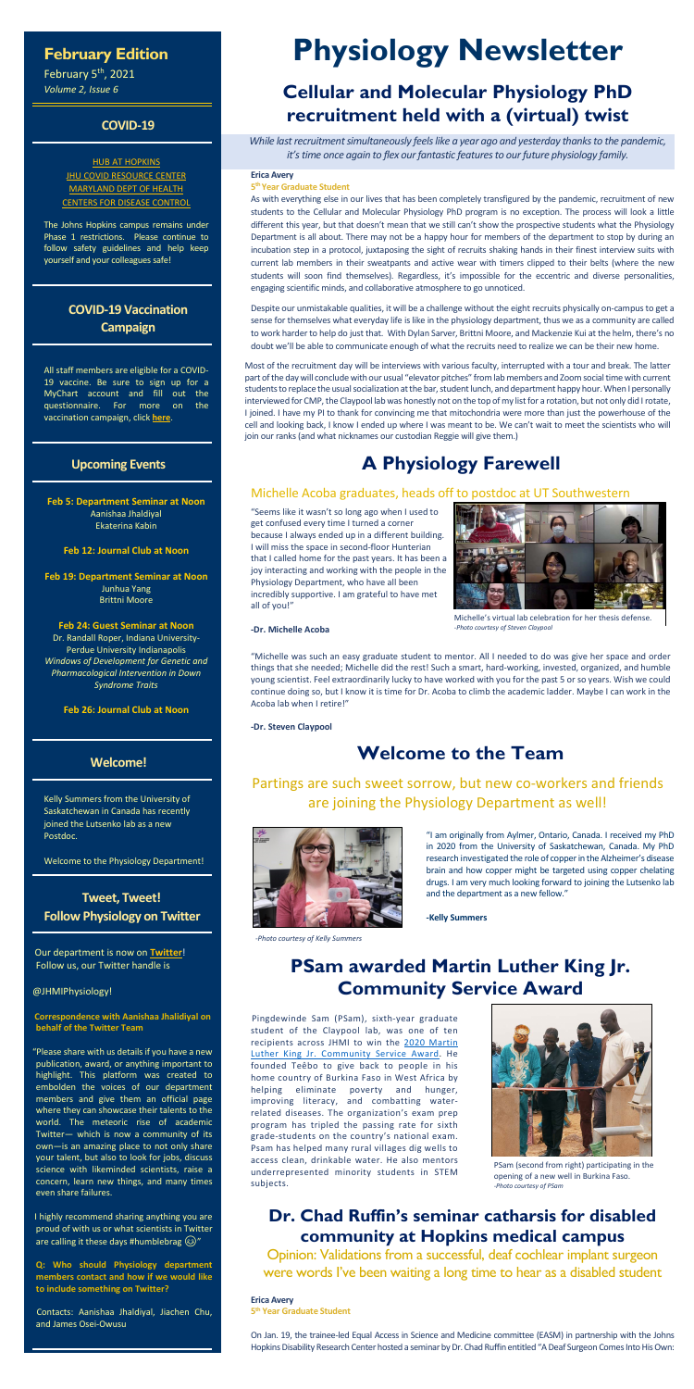## **February Edition**

February 5<sup>th</sup>, 2021 *Volume 2, Issue 6*

### **COVID-19**

### **[HUB AT HOPKINS](https://hub.jhu.edu/novel-coronavirus-information/)** JHU COVID [RESOURCE CENTER](https://coronavirus.jhu.edu/) [MARYLAND DEPT OF HEALTH](https://coronavirus.maryland.gov/) [CENTERS FOR DISEASE CONTROL](https://www.cdc.gov/coronavirus/2019-ncov/index.html)

The Johns Hopkins campus remains under Phase 1 restrictions. Please continue to follow safety guidelines and help keep yourself and your colleagues safe!

### **COVID-19 Vaccination Campaign**

All staff members are eligible for a COVID-19 vaccine. Be sure to sign up for a MyChart account and fill out the questionnaire. For more on the vaccination campaign, click **[here](https://covid19.insidehopkinsmedicine.org/mychart-covid-qas.html)**.

### **Upcoming Events**

**Feb 5: Department Seminar at Noon** Aanishaa Jhaldiyal Ekaterina Kabin

**Feb 12: Journal Club at Noon**

**Feb 19: Department Seminar at Noon** Junhua Yang Brittni Moore

### **Feb 24: Guest Seminar at Noon**

Dr. Randall Roper, Indiana University-Perdue University Indianapolis *Windows of Development for Genetic and Pharmacological Intervention in Down Syndrome Traits*

**Feb 26: Journal Club at Noon**

I highly recommend sharing anything you are proud of with us or what scientists in Twitter are calling it these days #humblebrag  $\circledS$ "

### **Welcome!**

Kelly Summers from the University of Saskatchewan in Canada has recently joined the Lutsenko lab as a new Postdoc.

Welcome to the Physiology Department!

### **Tweet, Tweet! Follow Physiology on Twitter**

Our department is now on **[Twitter](https://twitter.com/JHMIPhysiology)**! Follow us, our Twitter handle is

@JHMIPhysiology!

#### **Correspondence with Aanishaa Jhalidiyal on behalf of the Twitter Team**

"Please share with us details if you have a new publication, award, or anything important to highlight. This platform was created to embolden the voices of our department members and give them an official page where they can showcase their talents to the world. The meteoric rise of academic Twitter— which is now a community of its own—is an amazing place to not only share your talent, but also to look for jobs, discuss science with likeminded scientists, raise a concern, learn new things, and many times even share failures.

**Q: Who should Physiology department members contact and how if we would like to include something on Twitter?**

Contacts: Aanishaa Jhaldiyal, Jiachen Chu, and James Osei-Owusu

# **Physiology Newsletter**

# **Cellular and Molecular Physiology PhD recruitment held with a (virtual) twist**

*While last recruitment simultaneously feels like a year ago and yesterday thanks to the pandemic, it's time once again to flex our fantastic features to our future physiology family.*

#### **Erica Avery**

#### **5th Year Graduate Student**

As with everything else in our lives that has been completely transfigured by the pandemic, recruitment of new students to the Cellular and Molecular Physiology PhD program is no exception. The process will look a little different this year, but that doesn't mean that we still can't show the prospective students what the Physiology Department is all about. There may not be a happy hour for members of the department to stop by during an incubation step in a protocol, juxtaposing the sight of recruits shaking hands in their finest interview suits with current lab members in their sweatpants and active wear with timers clipped to their belts (where the new students will soon find themselves). Regardless, it's impossible for the eccentric and diverse personalities, engaging scientific minds, and collaborative atmosphere to go unnoticed.

Despite our unmistakable qualities, it will be a challenge without the eight recruits physically on-campus to get a sense for themselves what everyday life is like in the physiology department, thus we as a community are called to work harder to help do just that. With Dylan Sarver, Brittni Moore, and Mackenzie Kui at the helm, there's no doubt we'll be able to communicate enough of what the recruits need to realize we can be their new home.

Most of the recruitment day will be interviews with various faculty, interrupted with a tour and break. The latter part of the day will conclude with our usual "elevator pitches" from lab members and Zoom social time with current students to replace the usual socialization at the bar, student lunch, and department happy hour. When I personally interviewed for CMP, the Claypool lab was honestly not on the top of my list for a rotation, but not only did I rotate, I joined. I have my PI to thank for convincing me that mitochondria were more than just the powerhouse of the cell and looking back, I know I ended up where I was meant to be. We can't wait to meet the scientists who will join our ranks (and what nicknames our custodian Reggie will give them.)

# **A Physiology Farewell**

### Michelle Acoba graduates, heads off to postdoc at UT Southwestern

"Seems like it wasn't so long ago when I used to get confused every time I turned a corner because I always ended up in a different building. I will miss the space in second-floor Hunterian that I called home for the past years. It has been a joy interacting and working with the people in the Physiology Department, who have all been incredibly supportive. I am grateful to have met all of you!"

#### **-Dr. Michelle Acoba**

"Michelle was such an easy graduate student to mentor. All I needed to do was give her space and order things that she needed; Michelle did the rest! Such a smart, hard-working, invested, organized, and humble young scientist. Feel extraordinarily lucky to have worked with you for the past 5 or so years. Wish we could continue doing so, but I know it is time for Dr. Acoba to climb the academic ladder. Maybe I can work in the Acoba lab when I retire!"

**-Dr. Steven Claypool**

# **Welcome to the Team**

Partings are such sweet sorrow, but new co-workers and friends

# are joining the Physiology Department as well!



"I am originally from Aylmer, Ontario, Canada. I received my PhD in 2020 from the University of Saskatchewan, Canada. My PhD research investigated the role of copper in the Alzheimer's disease brain and how copper might be targeted using copper chelating drugs. I am very much looking forward to joining the Lutsenko lab and the department as a new fellow."

**-Kelly Summers**

# **PSam awarded Martin Luther King Jr. Community Service Award**

Pingdewinde Sam (PSam), sixth-year graduate student of the Claypool lab, was one of ten recipients across JHMI to win the [2020 Martin](https://www.hopkinsmedicine.org/news/articles/pingdewinde-sam-2020-mlk-jr-community-service-award-recipient)  [Luther King Jr. Community Service Award.](https://www.hopkinsmedicine.org/news/articles/pingdewinde-sam-2020-mlk-jr-community-service-award-recipient) He founded Teêbo to give back to people in his home country of Burkina Faso in West Africa by helping eliminate poverty and hunger, improving literacy, and combatting waterrelated diseases. The organization's exam prep program has tripled the passing rate for sixth grade-students on the country's national exam. Psam has helped many rural villages dig wells to access clean, drinkable water. He also mentors underrepresented minority students in STEM subjects.

# **Dr. Chad Ruffin's seminar catharsis for disabled community at Hopkins medical campus**

Opinion: Validations from a successful, deaf cochlear implant surgeon were words I've been waiting a long time to hear as a disabled student

#### **Erica Avery**

**5th Year Graduate Student**

On Jan. 19, the trainee-led Equal Access in Science and Medicine committee (EASM) in partnership with the Johns Hopkins Disability Research Center hosted a seminar by Dr. Chad Ruffin entitled "A Deaf Surgeon Comes Into His Own:



PSam (second from right) participating in the opening of a new well in Burkina Faso. *-Photo courtesy of PSam*



Michelle's virtual lab celebration for her thesis defense. *-Photo courtesy of Steven Claypool*

*-Photo courtesy of Kelly Summers*